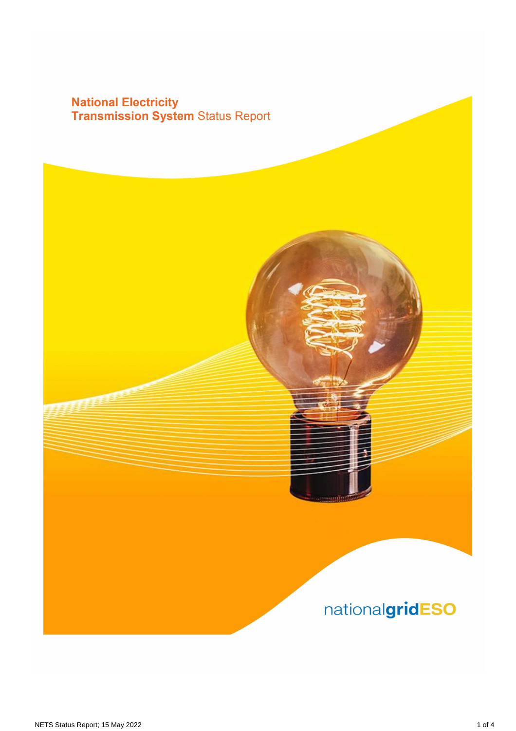# **National Electricity<br>Transmission System Status Report**

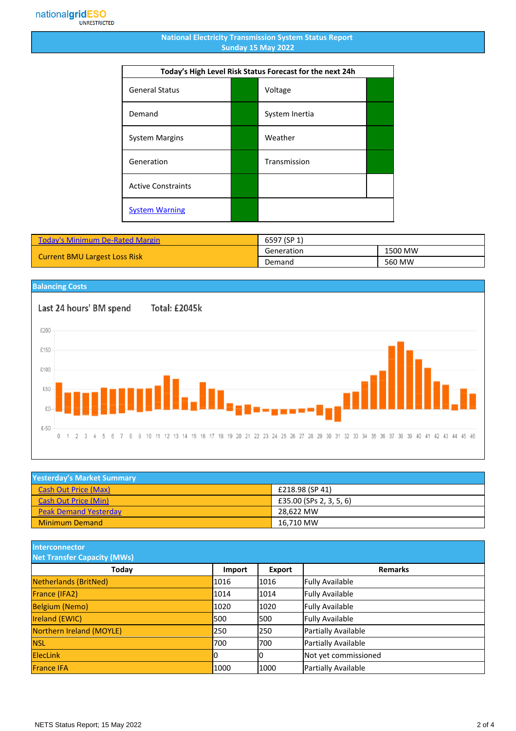#### **National Electricity Transmission System Status Report Sunday 15 May 2022**

| Today's High Level Risk Status Forecast for the next 24h |  |                |  |
|----------------------------------------------------------|--|----------------|--|
| <b>General Status</b>                                    |  | Voltage        |  |
| Demand                                                   |  | System Inertia |  |
| <b>System Margins</b>                                    |  | Weather        |  |
| Generation                                               |  | Transmission   |  |
| <b>Active Constraints</b>                                |  |                |  |
| <b>System Warning</b>                                    |  |                |  |

| <b>Today's Minimum De-Rated Margin</b> | 6597 (SP 1) |         |
|----------------------------------------|-------------|---------|
| <b>Current BMU Largest Loss Risk</b>   | Generation  | 1500 MW |
|                                        | Demand      | 560 MW  |



| <b>Yesterday's Market Summary</b> |                         |  |
|-----------------------------------|-------------------------|--|
| <b>Cash Out Price (Max)</b>       | £218.98 (SP 41)         |  |
| <b>Cash Out Price (Min)</b>       | £35.00 (SPs 2, 3, 5, 6) |  |
| <b>Peak Demand Yesterday</b>      | 28.622 MW               |  |
| <b>Minimum Demand</b>             | 16.710 MW               |  |

**Interconnector**

| <b>Net Transfer Capacity (MWs)</b> |        |        |                        |
|------------------------------------|--------|--------|------------------------|
| Today                              | Import | Export | <b>Remarks</b>         |
| Netherlands (BritNed)              | 1016   | 1016   | <b>Fully Available</b> |
| France (IFA2)                      | 1014   | 1014   | <b>Fully Available</b> |
| <b>Belgium (Nemo)</b>              | 1020   | 1020   | <b>Fully Available</b> |
| Ireland (EWIC)                     | 500    | 1500   | <b>Fully Available</b> |
| Northern Ireland (MOYLE)           | 250    | 1250   | Partially Available    |
| <b>NSL</b>                         | 700    | 1700   | Partially Available    |
| <b>ElecLink</b>                    | 10     |        | Not yet commissioned   |
| <b>France IFA</b>                  | 1000   | 1000   | Partially Available    |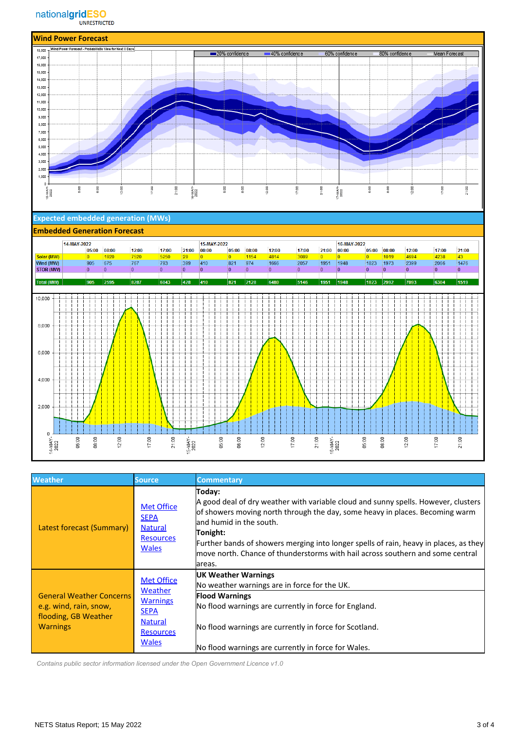

### **Expected embedded generation (MWs)**

#### **Embedded Generation Forecast**



| <b>Weather</b>                                                                                       | Source.                                                                                                              | <b>Commentary</b>                                                                                                                                                                                                                                                                                                                                                                                          |
|------------------------------------------------------------------------------------------------------|----------------------------------------------------------------------------------------------------------------------|------------------------------------------------------------------------------------------------------------------------------------------------------------------------------------------------------------------------------------------------------------------------------------------------------------------------------------------------------------------------------------------------------------|
| Latest forecast (Summary)                                                                            | <b>Met Office</b><br><b>SEPA</b><br><b>Natural</b><br><b>Resources</b><br><b>Wales</b>                               | Today:<br>A good deal of dry weather with variable cloud and sunny spells. However, clusters<br>of showers moving north through the day, some heavy in places. Becoming warm<br>land humid in the south.<br>Tonight:<br>Further bands of showers merging into longer spells of rain, heavy in places, as they<br>move north. Chance of thunderstorms with hail across southern and some central<br>lareas. |
| <b>General Weather Concerns</b><br>e.g. wind, rain, snow,<br>flooding, GB Weather<br><b>Warnings</b> | <b>Met Office</b><br>Weather<br><b>Warnings</b><br><b>SEPA</b><br><b>Natural</b><br><b>Resources</b><br><b>Wales</b> | <b>UK Weather Warnings</b><br>No weather warnings are in force for the UK.<br><b>Flood Warnings</b><br>No flood warnings are currently in force for England.<br>No flood warnings are currently in force for Scotland.<br>No flood warnings are currently in force for Wales.                                                                                                                              |

 *Contains public sector information licensed under the Open Government Licence v1.0*